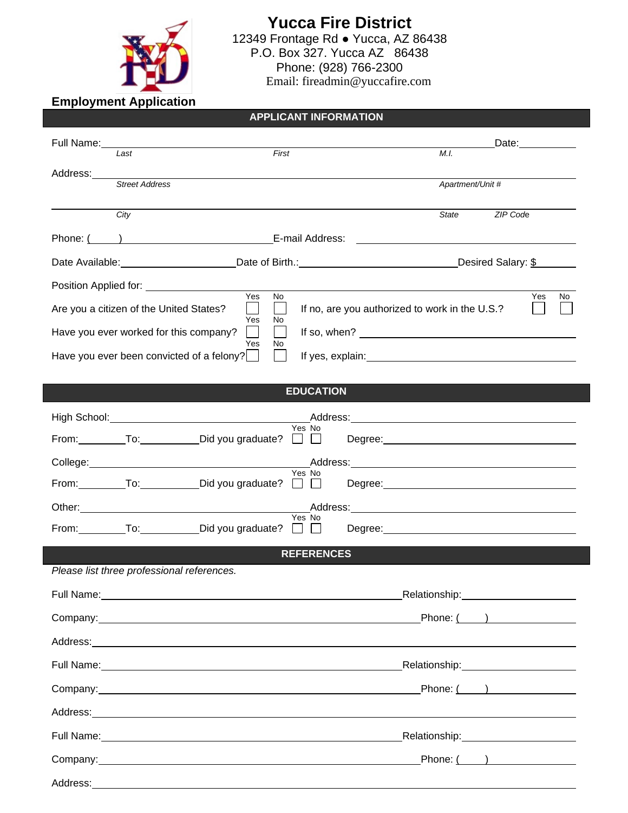

**Yucca Fire District** 12349 Frontage Rd ● Yucca, AZ 86438 P.O. Box 327. Yucca AZ 86438 Phone: (928) 766-2300 Email: fireadmin@yuccafire.com

**Employment Application** 

## **APPLICANT INFORMATION**

|                                                         | Full Name: Management of the Contract of the Contract of the Contract of the Contract of the Contract of the Contract of the Contract of the Contract of the Contract of the Contract of the Contract of the Contract of the C |                                                                                                                                                                                                                                |                    | Date: ___________                                                                                              |  |
|---------------------------------------------------------|--------------------------------------------------------------------------------------------------------------------------------------------------------------------------------------------------------------------------------|--------------------------------------------------------------------------------------------------------------------------------------------------------------------------------------------------------------------------------|--------------------|----------------------------------------------------------------------------------------------------------------|--|
|                                                         | $\overline{L}$ ast                                                                                                                                                                                                             | First                                                                                                                                                                                                                          | M.I.               |                                                                                                                |  |
| Address:                                                | <b>Street Address</b>                                                                                                                                                                                                          |                                                                                                                                                                                                                                | Apartment/Unit #   |                                                                                                                |  |
|                                                         | City                                                                                                                                                                                                                           |                                                                                                                                                                                                                                | State <b>State</b> | ZIP Code                                                                                                       |  |
|                                                         |                                                                                                                                                                                                                                |                                                                                                                                                                                                                                |                    |                                                                                                                |  |
|                                                         |                                                                                                                                                                                                                                | Date Available: Contract Date of Birth.: Contract Desired Salary: \$                                                                                                                                                           |                    |                                                                                                                |  |
|                                                         |                                                                                                                                                                                                                                |                                                                                                                                                                                                                                |                    |                                                                                                                |  |
|                                                         | Yes<br>Are you a citizen of the United States?                                                                                                                                                                                 | <b>No</b><br>If no, are you authorized to work in the U.S.?<br>$\mathbf{L}$                                                                                                                                                    |                    | Yes<br>No                                                                                                      |  |
|                                                         | Yes<br>Have you ever worked for this company?<br>$\mathsf{L}$                                                                                                                                                                  | No.<br>If so, when? $\overline{\qquad \qquad }$                                                                                                                                                                                |                    |                                                                                                                |  |
| Yes<br>No.<br>Have you ever been convicted of a felony? |                                                                                                                                                                                                                                |                                                                                                                                                                                                                                |                    |                                                                                                                |  |
|                                                         |                                                                                                                                                                                                                                |                                                                                                                                                                                                                                |                    |                                                                                                                |  |
| <b>EDUCATION</b>                                        |                                                                                                                                                                                                                                |                                                                                                                                                                                                                                |                    |                                                                                                                |  |
|                                                         |                                                                                                                                                                                                                                | Yes No                                                                                                                                                                                                                         |                    |                                                                                                                |  |
|                                                         | From: __________To: _____________Did you graduate? □ □                                                                                                                                                                         |                                                                                                                                                                                                                                |                    |                                                                                                                |  |
|                                                         |                                                                                                                                                                                                                                | Yes No                                                                                                                                                                                                                         |                    |                                                                                                                |  |
|                                                         |                                                                                                                                                                                                                                | From: To: To: Did you graduate? □ □ Degree: Network: Discover Discover Promotion Promotion Discover Promotion                                                                                                                  |                    |                                                                                                                |  |
|                                                         |                                                                                                                                                                                                                                | Yes No                                                                                                                                                                                                                         |                    |                                                                                                                |  |
|                                                         | From: ___________To: ______________Did you graduate? □ □                                                                                                                                                                       |                                                                                                                                                                                                                                |                    |                                                                                                                |  |
| <b>REFERENCES</b>                                       |                                                                                                                                                                                                                                |                                                                                                                                                                                                                                |                    |                                                                                                                |  |
|                                                         | Please list three professional references.                                                                                                                                                                                     |                                                                                                                                                                                                                                |                    |                                                                                                                |  |
|                                                         |                                                                                                                                                                                                                                |                                                                                                                                                                                                                                |                    | Relationship: _______________________                                                                          |  |
|                                                         | Company: company:                                                                                                                                                                                                              |                                                                                                                                                                                                                                |                    | Phone: (                                                                                                       |  |
|                                                         |                                                                                                                                                                                                                                | Address: Andreas Address: Address: Address: Address: Address: Address: Address: Address: Address: Address: Address: Address: Address: Address: Address: Address: Address: Address: Address: Address: Address: Address: Address |                    |                                                                                                                |  |
|                                                         |                                                                                                                                                                                                                                |                                                                                                                                                                                                                                |                    | Relationship: Manual Museum Museum Museum Museum Museum Museum Museum Museum Museum Museum Museum Museum Museu |  |
|                                                         |                                                                                                                                                                                                                                |                                                                                                                                                                                                                                |                    | Phone: (                                                                                                       |  |
|                                                         |                                                                                                                                                                                                                                | Address: Andreas Address: Address: Address: Address: Address: Address: Address: Address: Address: Address: Address: Address: Address: Address: Address: Address: Address: Address: Address: Address: Address: Address: Address |                    |                                                                                                                |  |
|                                                         |                                                                                                                                                                                                                                |                                                                                                                                                                                                                                |                    | Relationship: Manual Museum Museum Museum Museum Museum Museum Museum Museum Museum Museum Museum Museum Museu |  |
|                                                         |                                                                                                                                                                                                                                |                                                                                                                                                                                                                                |                    | Phone: $($ $)$                                                                                                 |  |
|                                                         |                                                                                                                                                                                                                                |                                                                                                                                                                                                                                |                    |                                                                                                                |  |